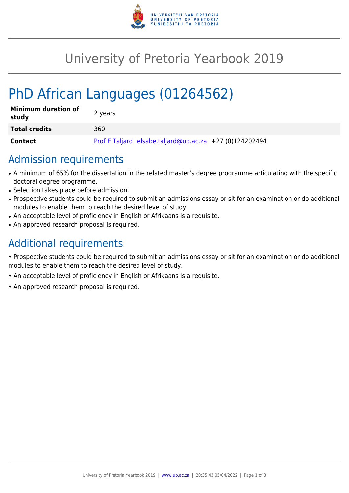

# University of Pretoria Yearbook 2019

# PhD African Languages (01264562)

| <b>Minimum duration of</b><br>study | 2 years                                                 |
|-------------------------------------|---------------------------------------------------------|
| <b>Total credits</b>                | 360.                                                    |
| <b>Contact</b>                      | Prof E Taljard elsabe.taljard@up.ac.za +27 (0)124202494 |

### Admission requirements

- A minimum of 65% for the dissertation in the related master's degree programme articulating with the specific doctoral degree programme.
- Selection takes place before admission.
- Prospective students could be required to submit an admissions essay or sit for an examination or do additional modules to enable them to reach the desired level of study.
- An acceptable level of proficiency in English or Afrikaans is a requisite.
- An approved research proposal is required.

## Additional requirements

• Prospective students could be required to submit an admissions essay or sit for an examination or do additional modules to enable them to reach the desired level of study.

- An acceptable level of proficiency in English or Afrikaans is a requisite.
- An approved research proposal is required.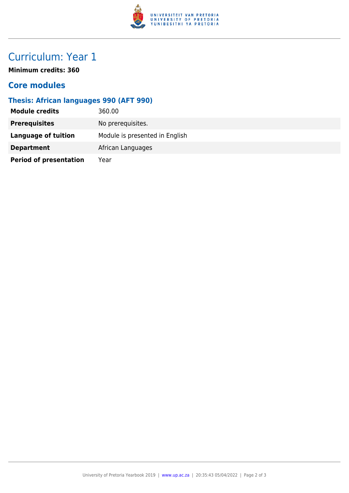

# Curriculum: Year 1

**Minimum credits: 360**

#### **Core modules**

#### **Thesis: African languages 990 (AFT 990)**

| <b>Module credits</b>         | 360.00                         |
|-------------------------------|--------------------------------|
| <b>Prerequisites</b>          | No prerequisites.              |
| Language of tuition           | Module is presented in English |
| <b>Department</b>             | African Languages              |
| <b>Period of presentation</b> | Year                           |